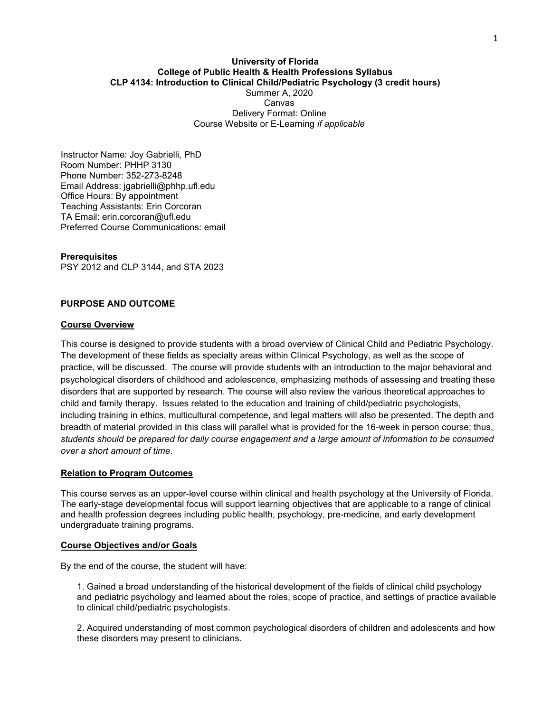### University of Florida College of Public Health & Health Professions Syllabus CLP 4134: Introduction to Clinical Child/Pediatric Psychology (3 credit hours) Summer A, 2020 Canvas Delivery Format: Online Course Website or E-Learning if applicable

Instructor Name: Joy Gabrielli, PhD Room Number: PHHP 3130 Phone Number: 352-273-8248 Email Address: jgabrielli@phhp.ufl.edu Office Hours: By appointment Teaching Assistants: Erin Corcoran TA Email: erin.corcoran@ufl.edu Preferred Course Communications: email

**Prerequisites** PSY 2012 and CLP 3144, and STA 2023

## PURPOSE AND OUTCOME

#### Course Overview

This course is designed to provide students with a broad overview of Clinical Child and Pediatric Psychology. The development of these fields as specialty areas within Clinical Psychology, as well as the scope of practice, will be discussed. The course will provide students with an introduction to the major behavioral and psychological disorders of childhood and adolescence, emphasizing methods of assessing and treating these disorders that are supported by research. The course will also review the various theoretical approaches to child and family therapy. Issues related to the education and training of child/pediatric psychologists, including training in ethics, multicultural competence, and legal matters will also be presented. The depth and breadth of material provided in this class will parallel what is provided for the 16-week in person course; thus, students should be prepared for daily course engagement and a large amount of information to be consumed over a short amount of time.

## Relation to Program Outcomes

This course serves as an upper-level course within clinical and health psychology at the University of Florida. The early-stage developmental focus will support learning objectives that are applicable to a range of clinical and health profession degrees including public health, psychology, pre-medicine, and early development undergraduate training programs.

#### Course Objectives and/or Goals

By the end of the course, the student will have:

1. Gained a broad understanding of the historical development of the fields of clinical child psychology and pediatric psychology and learned about the roles, scope of practice, and settings of practice available to clinical child/pediatric psychologists.

2. Acquired understanding of most common psychological disorders of children and adolescents and how these disorders may present to clinicians.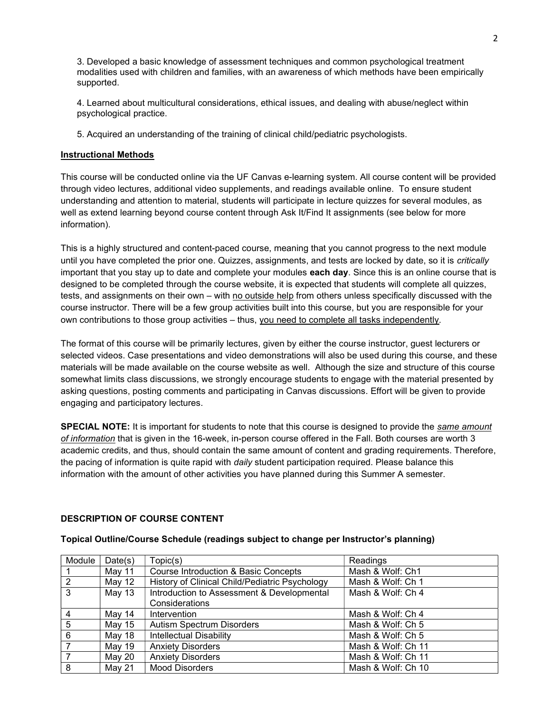3. Developed a basic knowledge of assessment techniques and common psychological treatment modalities used with children and families, with an awareness of which methods have been empirically supported.

4. Learned about multicultural considerations, ethical issues, and dealing with abuse/neglect within psychological practice.

5. Acquired an understanding of the training of clinical child/pediatric psychologists.

# Instructional Methods

This course will be conducted online via the UF Canvas e-learning system. All course content will be provided through video lectures, additional video supplements, and readings available online. To ensure student understanding and attention to material, students will participate in lecture quizzes for several modules, as well as extend learning beyond course content through Ask It/Find It assignments (see below for more information).

This is a highly structured and content-paced course, meaning that you cannot progress to the next module until you have completed the prior one. Quizzes, assignments, and tests are locked by date, so it is *critically* important that you stay up to date and complete your modules each day. Since this is an online course that is designed to be completed through the course website, it is expected that students will complete all quizzes, tests, and assignments on their own – with no outside help from others unless specifically discussed with the course instructor. There will be a few group activities built into this course, but you are responsible for your own contributions to those group activities – thus, you need to complete all tasks independently.

The format of this course will be primarily lectures, given by either the course instructor, guest lecturers or selected videos. Case presentations and video demonstrations will also be used during this course, and these materials will be made available on the course website as well. Although the size and structure of this course somewhat limits class discussions, we strongly encourage students to engage with the material presented by asking questions, posting comments and participating in Canvas discussions. Effort will be given to provide engaging and participatory lectures.

**SPECIAL NOTE:** It is important for students to note that this course is designed to provide the same amount of information that is given in the 16-week, in-person course offered in the Fall. Both courses are worth 3 academic credits, and thus, should contain the same amount of content and grading requirements. Therefore, the pacing of information is quite rapid with *daily* student participation required. Please balance this information with the amount of other activities you have planned during this Summer A semester.

# DESCRIPTION OF COURSE CONTENT

| Module | Date(s) | Topic(s)                                        | Readings           |
|--------|---------|-------------------------------------------------|--------------------|
|        | May 11  | <b>Course Introduction &amp; Basic Concepts</b> | Mash & Wolf: Ch1   |
| 2      | May 12  | History of Clinical Child/Pediatric Psychology  | Mash & Wolf: Ch 1  |
| 3      | May 13  | Introduction to Assessment & Developmental      | Mash & Wolf: Ch 4  |
|        |         | Considerations                                  |                    |
| 4      | May 14  | Intervention                                    | Mash & Wolf: Ch 4  |
| 5      | May 15  | <b>Autism Spectrum Disorders</b>                | Mash & Wolf: Ch 5  |
| 6      | May 18  | <b>Intellectual Disability</b>                  | Mash & Wolf: Ch 5  |
|        | May 19  | <b>Anxiety Disorders</b>                        | Mash & Wolf: Ch 11 |
|        | May 20  | <b>Anxiety Disorders</b>                        | Mash & Wolf: Ch 11 |
| 8      | May 21  | <b>Mood Disorders</b>                           | Mash & Wolf: Ch 10 |

## Topical Outline/Course Schedule (readings subject to change per Instructor's planning)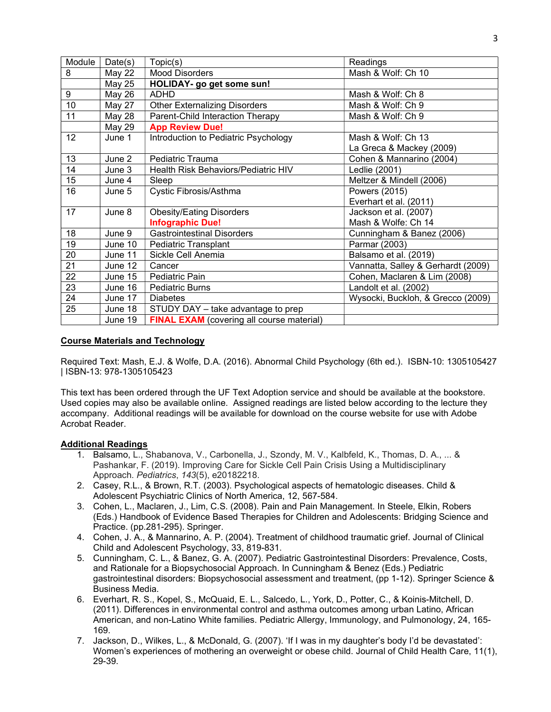| Module | Date(s)       | Topic(s)                                         | Readings                           |
|--------|---------------|--------------------------------------------------|------------------------------------|
| 8      | May 22        | <b>Mood Disorders</b>                            | Mash & Wolf: Ch 10                 |
|        | <b>May 25</b> | HOLIDAY- go get some sun!                        |                                    |
| 9      | May 26        | <b>ADHD</b>                                      | Mash & Wolf: Ch 8                  |
| 10     | May 27        | <b>Other Externalizing Disorders</b>             | Mash & Wolf: Ch 9                  |
| 11     | May 28        | Parent-Child Interaction Therapy                 | Mash & Wolf: Ch 9                  |
|        | <b>May 29</b> | <b>App Review Due!</b>                           |                                    |
| 12     | June 1        | Introduction to Pediatric Psychology             | Mash & Wolf: Ch 13                 |
|        |               |                                                  | La Greca & Mackey (2009)           |
| 13     | June 2        | Pediatric Trauma                                 | Cohen & Mannarino (2004)           |
| 14     | June 3        | Health Risk Behaviors/Pediatric HIV              | Ledlie (2001)                      |
| 15     | June 4        | Sleep                                            | Meltzer & Mindell (2006)           |
| 16     | June 5        | Cystic Fibrosis/Asthma                           | Powers (2015)                      |
|        |               |                                                  | Everhart et al. (2011)             |
| 17     | June 8        | <b>Obesity/Eating Disorders</b>                  | Jackson et al. (2007)              |
|        |               | <b>Infographic Due!</b>                          | Mash & Wolfe: Ch 14                |
| 18     | June 9        | <b>Gastrointestinal Disorders</b>                | Cunningham & Banez (2006)          |
| 19     | June 10       | Pediatric Transplant                             | Parmar (2003)                      |
| 20     | June 11       | Sickle Cell Anemia                               | Balsamo et al. (2019)              |
| 21     | June 12       | Cancer                                           | Vannatta, Salley & Gerhardt (2009) |
| 22     | June 15       | Pediatric Pain                                   | Cohen, Maclaren & Lim (2008)       |
| 23     | June 16       | <b>Pediatric Burns</b>                           | Landolt et al. (2002)              |
| 24     | June 17       | <b>Diabetes</b>                                  | Wysocki, Buckloh, & Grecco (2009)  |
| 25     | June 18       | STUDY DAY - take advantage to prep               |                                    |
|        | June 19       | <b>FINAL EXAM</b> (covering all course material) |                                    |

# Course Materials and Technology

Required Text: Mash, E.J. & Wolfe, D.A. (2016). Abnormal Child Psychology (6th ed.). ISBN-10: 1305105427 | ISBN-13: 978-1305105423

This text has been ordered through the UF Text Adoption service and should be available at the bookstore. Used copies may also be available online. Assigned readings are listed below according to the lecture they accompany. Additional readings will be available for download on the course website for use with Adobe Acrobat Reader.

## Additional Readings

- 1. Balsamo, L., Shabanova, V., Carbonella, J., Szondy, M. V., Kalbfeld, K., Thomas, D. A., ... & Pashankar, F. (2019). Improving Care for Sickle Cell Pain Crisis Using a Multidisciplinary Approach. Pediatrics, 143(5), e20182218.
- 2. Casey, R.L., & Brown, R.T. (2003). Psychological aspects of hematologic diseases. Child & Adolescent Psychiatric Clinics of North America, 12, 567-584.
- 3. Cohen, L., Maclaren, J., Lim, C.S. (2008). Pain and Pain Management. In Steele, Elkin, Robers (Eds.) Handbook of Evidence Based Therapies for Children and Adolescents: Bridging Science and Practice. (pp.281-295). Springer.
- 4. Cohen, J. A., & Mannarino, A. P. (2004). Treatment of childhood traumatic grief. Journal of Clinical Child and Adolescent Psychology, 33, 819-831.
- 5. Cunningham, C. L., & Banez, G. A. (2007). Pediatric Gastrointestinal Disorders: Prevalence, Costs, and Rationale for a Biopsychosocial Approach. In Cunningham & Benez (Eds.) Pediatric gastrointestinal disorders: Biopsychosocial assessment and treatment, (pp 1-12). Springer Science & Business Media.
- 6. Everhart, R. S., Kopel, S., McQuaid, E. L., Salcedo, L., York, D., Potter, C., & Koinis-Mitchell, D. (2011). Differences in environmental control and asthma outcomes among urban Latino, African American, and non-Latino White families. Pediatric Allergy, Immunology, and Pulmonology, 24, 165- 169.
- 7. Jackson, D., Wilkes, L., & McDonald, G. (2007). 'If I was in my daughter's body I'd be devastated': Women's experiences of mothering an overweight or obese child. Journal of Child Health Care, 11(1), 29-39.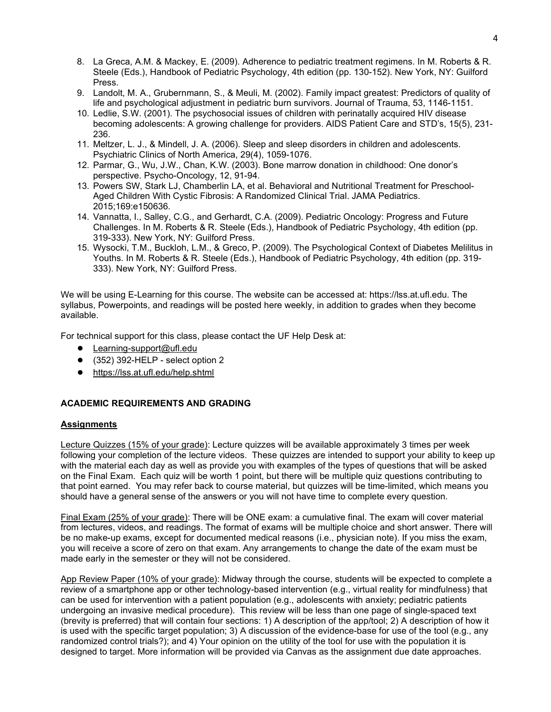- 8. La Greca, A.M. & Mackey, E. (2009). Adherence to pediatric treatment regimens. In M. Roberts & R. Steele (Eds.), Handbook of Pediatric Psychology, 4th edition (pp. 130-152). New York, NY: Guilford Press.
- 9. Landolt, M. A., Grubernmann, S., & Meuli, M. (2002). Family impact greatest: Predictors of quality of life and psychological adjustment in pediatric burn survivors. Journal of Trauma, 53, 1146-1151.
- 10. Ledlie, S.W. (2001). The psychosocial issues of children with perinatally acquired HIV disease becoming adolescents: A growing challenge for providers. AIDS Patient Care and STD's, 15(5), 231- 236.
- 11. Meltzer, L. J., & Mindell, J. A. (2006). Sleep and sleep disorders in children and adolescents. Psychiatric Clinics of North America, 29(4), 1059-1076.
- 12. Parmar, G., Wu, J.W., Chan, K.W. (2003). Bone marrow donation in childhood: One donor's perspective. Psycho-Oncology, 12, 91-94.
- 13. Powers SW, Stark LJ, Chamberlin LA, et al. Behavioral and Nutritional Treatment for Preschool-Aged Children With Cystic Fibrosis: A Randomized Clinical Trial. JAMA Pediatrics. 2015;169:e150636.
- 14. Vannatta, I., Salley, C.G., and Gerhardt, C.A. (2009). Pediatric Oncology: Progress and Future Challenges. In M. Roberts & R. Steele (Eds.), Handbook of Pediatric Psychology, 4th edition (pp. 319-333). New York, NY: Guilford Press.
- 15. Wysocki, T.M., Buckloh, L.M., & Greco, P. (2009). The Psychological Context of Diabetes Melilitus in Youths. In M. Roberts & R. Steele (Eds.), Handbook of Pediatric Psychology, 4th edition (pp. 319- 333). New York, NY: Guilford Press.

We will be using E-Learning for this course. The website can be accessed at: https://lss.at.ufl.edu. The syllabus, Powerpoints, and readings will be posted here weekly, in addition to grades when they become available.

For technical support for this class, please contact the UF Help Desk at:

- Learning-support@ufl.edu
- (352) 392-HELP select option 2
- https://lss.at.ufl.edu/help.shtml

## ACADEMIC REQUIREMENTS AND GRADING

## **Assignments**

Lecture Quizzes (15% of your grade): Lecture quizzes will be available approximately 3 times per week following your completion of the lecture videos. These quizzes are intended to support your ability to keep up with the material each day as well as provide you with examples of the types of questions that will be asked on the Final Exam. Each quiz will be worth 1 point, but there will be multiple quiz questions contributing to that point earned. You may refer back to course material, but quizzes will be time-limited, which means you should have a general sense of the answers or you will not have time to complete every question.

Final Exam (25% of your grade): There will be ONE exam: a cumulative final. The exam will cover material from lectures, videos, and readings. The format of exams will be multiple choice and short answer. There will be no make-up exams, except for documented medical reasons (i.e., physician note). If you miss the exam, you will receive a score of zero on that exam. Any arrangements to change the date of the exam must be made early in the semester or they will not be considered.

App Review Paper (10% of your grade): Midway through the course, students will be expected to complete a review of a smartphone app or other technology-based intervention (e.g., virtual reality for mindfulness) that can be used for intervention with a patient population (e.g., adolescents with anxiety; pediatric patients undergoing an invasive medical procedure). This review will be less than one page of single-spaced text (brevity is preferred) that will contain four sections: 1) A description of the app/tool; 2) A description of how it is used with the specific target population; 3) A discussion of the evidence-base for use of the tool (e.g., any randomized control trials?); and 4) Your opinion on the utility of the tool for use with the population it is designed to target. More information will be provided via Canvas as the assignment due date approaches.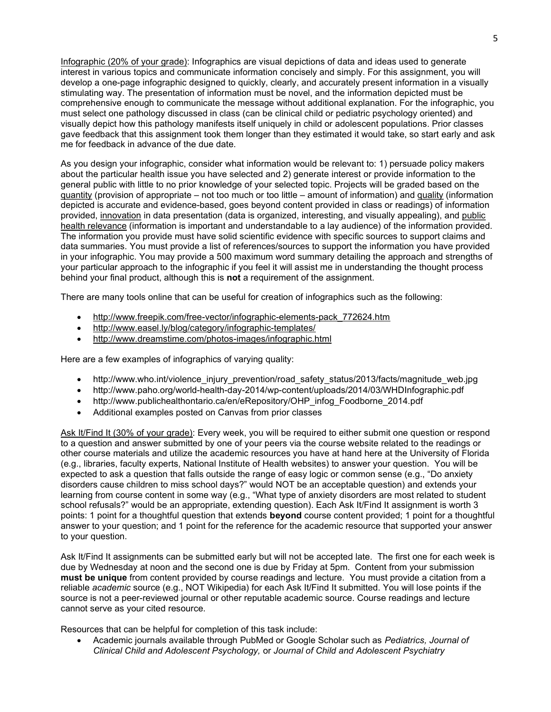Infographic (20% of your grade): Infographics are visual depictions of data and ideas used to generate interest in various topics and communicate information concisely and simply. For this assignment, you will develop a one-page infographic designed to quickly, clearly, and accurately present information in a visually stimulating way. The presentation of information must be novel, and the information depicted must be comprehensive enough to communicate the message without additional explanation. For the infographic, you must select one pathology discussed in class (can be clinical child or pediatric psychology oriented) and visually depict how this pathology manifests itself uniquely in child or adolescent populations. Prior classes gave feedback that this assignment took them longer than they estimated it would take, so start early and ask me for feedback in advance of the due date.

As you design your infographic, consider what information would be relevant to: 1) persuade policy makers about the particular health issue you have selected and 2) generate interest or provide information to the general public with little to no prior knowledge of your selected topic. Projects will be graded based on the quantity (provision of appropriate – not too much or too little – amount of information) and quality (information depicted is accurate and evidence-based, goes beyond content provided in class or readings) of information provided, innovation in data presentation (data is organized, interesting, and visually appealing), and public health relevance (information is important and understandable to a lay audience) of the information provided. The information you provide must have solid scientific evidence with specific sources to support claims and data summaries. You must provide a list of references/sources to support the information you have provided in your infographic. You may provide a 500 maximum word summary detailing the approach and strengths of your particular approach to the infographic if you feel it will assist me in understanding the thought process behind your final product, although this is not a requirement of the assignment.

There are many tools online that can be useful for creation of infographics such as the following:

- http://www.freepik.com/free-vector/infographic-elements-pack\_772624.htm
- http://www.easel.ly/blog/category/infographic-templates/
- http://www.dreamstime.com/photos-images/infographic.html

Here are a few examples of infographics of varying quality:

- http://www.who.int/violence\_injury\_prevention/road\_safety\_status/2013/facts/magnitude\_web.jpg
- http://www.paho.org/world-health-day-2014/wp-content/uploads/2014/03/WHDInfographic.pdf
- http://www.publichealthontario.ca/en/eRepository/OHP\_infog\_Foodborne\_2014.pdf
- Additional examples posted on Canvas from prior classes

Ask It/Find It (30% of your grade): Every week, you will be required to either submit one question or respond to a question and answer submitted by one of your peers via the course website related to the readings or other course materials and utilize the academic resources you have at hand here at the University of Florida (e.g., libraries, faculty experts, National Institute of Health websites) to answer your question. You will be expected to ask a question that falls outside the range of easy logic or common sense (e.g., "Do anxiety disorders cause children to miss school days?" would NOT be an acceptable question) and extends your learning from course content in some way (e.g., "What type of anxiety disorders are most related to student school refusals?" would be an appropriate, extending question). Each Ask It/Find It assignment is worth 3 points: 1 point for a thoughtful question that extends **beyond** course content provided; 1 point for a thoughtful answer to your question; and 1 point for the reference for the academic resource that supported your answer to your question.

Ask It/Find It assignments can be submitted early but will not be accepted late. The first one for each week is due by Wednesday at noon and the second one is due by Friday at 5pm. Content from your submission must be unique from content provided by course readings and lecture. You must provide a citation from a reliable academic source (e.g., NOT Wikipedia) for each Ask It/Find It submitted. You will lose points if the source is not a peer-reviewed journal or other reputable academic source. Course readings and lecture cannot serve as your cited resource.

Resources that can be helpful for completion of this task include:

 Academic journals available through PubMed or Google Scholar such as Pediatrics, Journal of Clinical Child and Adolescent Psychology, or Journal of Child and Adolescent Psychiatry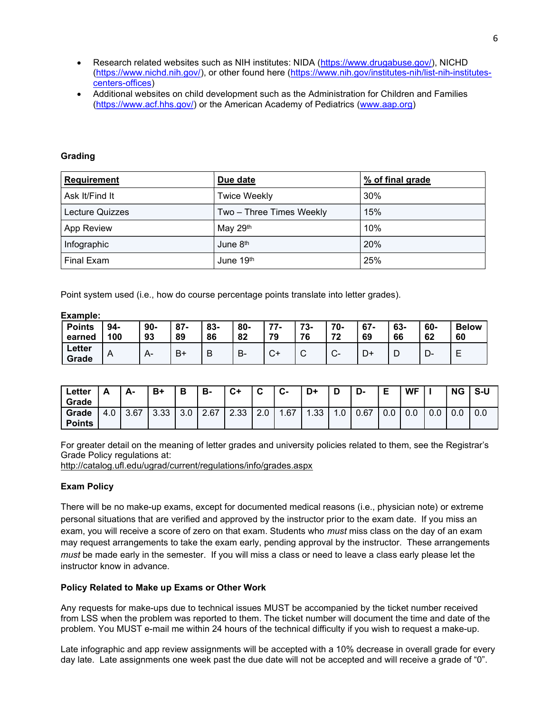- Research related websites such as NIH institutes: NIDA (https://www.drugabuse.gov/), NICHD (https://www.nichd.nih.gov/), or other found here (https://www.nih.gov/institutes-nih/list-nih-institutescenters-offices)
- Additional websites on child development such as the Administration for Children and Families (https://www.acf.hhs.gov/) or the American Academy of Pediatrics (www.aap.org)

### Grading

Example:

| <b>Requirement</b> | Due date                 | % of final grade |  |  |  |
|--------------------|--------------------------|------------------|--|--|--|
| Ask It/Find It     | <b>Twice Weekly</b>      | 30%              |  |  |  |
| Lecture Quizzes    | Two - Three Times Weekly | 15%              |  |  |  |
| App Review         | May 29th                 | 10%              |  |  |  |
| Infographic        | June 8th                 | 20%              |  |  |  |
| Final Exam         | June 19th                | 25%              |  |  |  |

Point system used (i.e., how do course percentage points translate into letter grades).

| Еханре.<br><b>Points</b><br>earned | 94-<br>100 | $90-$<br>93 | $87 -$<br>89 | 83-<br>86 | 80-<br>82 | 77.<br>79              | 73-<br>76   | 70-<br>72     | $67 -$<br>69 | 63-<br>66 | 60-<br>62 | <b>Below</b><br>60 |
|------------------------------------|------------|-------------|--------------|-----------|-----------|------------------------|-------------|---------------|--------------|-----------|-----------|--------------------|
| Letter<br>Grade                    | A          | $A -$       | B+           | B         | в.        | $\sim$<br>$\mathbf{C}$ | $\sim$<br>ັ | $\sim$<br>ັບ− | D+           | D         | ∍<br>− —  | –                  |

| Letter<br>Grade        | A   | А-   | B+   | Ð   | в-   | C+   | ◠<br>ັ | $\sim$<br>v- | D+  | D   | -ש   | Е<br>∽ | WF  |     | <b>NG</b> | S-U |
|------------------------|-----|------|------|-----|------|------|--------|--------------|-----|-----|------|--------|-----|-----|-----------|-----|
| Grade<br><b>Points</b> | 4.0 | 3.67 | 3.33 | 3.0 | 2.67 | 2.33 | 2.0    | 1.67         | .33 | .0. | 0.67 | 0.0    | 0.0 | 0.0 | 0.0       | 0.0 |

For greater detail on the meaning of letter grades and university policies related to them, see the Registrar's Grade Policy regulations at:

http://catalog.ufl.edu/ugrad/current/regulations/info/grades.aspx

## Exam Policy

There will be no make-up exams, except for documented medical reasons (i.e., physician note) or extreme personal situations that are verified and approved by the instructor prior to the exam date. If you miss an exam, you will receive a score of zero on that exam. Students who *must* miss class on the day of an exam may request arrangements to take the exam early, pending approval by the instructor. These arrangements must be made early in the semester. If you will miss a class or need to leave a class early please let the instructor know in advance.

#### Policy Related to Make up Exams or Other Work

Any requests for make-ups due to technical issues MUST be accompanied by the ticket number received from LSS when the problem was reported to them. The ticket number will document the time and date of the problem. You MUST e-mail me within 24 hours of the technical difficulty if you wish to request a make-up.

Late infographic and app review assignments will be accepted with a 10% decrease in overall grade for every day late. Late assignments one week past the due date will not be accepted and will receive a grade of "0".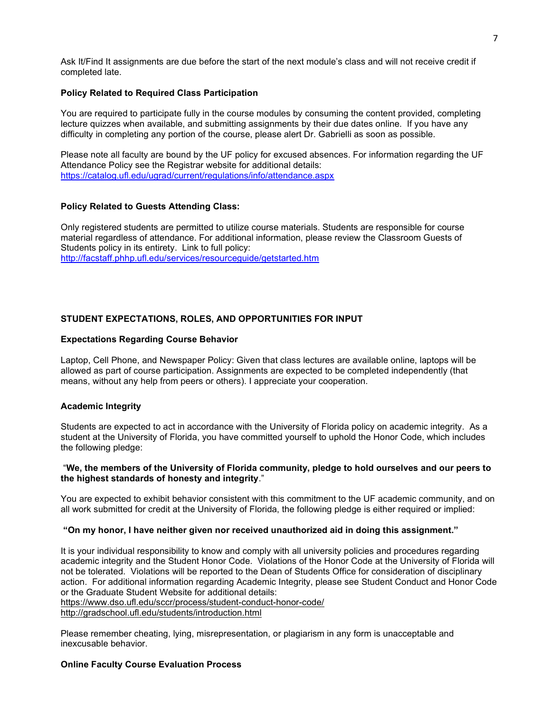Ask It/Find It assignments are due before the start of the next module's class and will not receive credit if completed late.

#### Policy Related to Required Class Participation

You are required to participate fully in the course modules by consuming the content provided, completing lecture quizzes when available, and submitting assignments by their due dates online. If you have any difficulty in completing any portion of the course, please alert Dr. Gabrielli as soon as possible.

Please note all faculty are bound by the UF policy for excused absences. For information regarding the UF Attendance Policy see the Registrar website for additional details: https://catalog.ufl.edu/ugrad/current/regulations/info/attendance.aspx

#### Policy Related to Guests Attending Class:

Only registered students are permitted to utilize course materials. Students are responsible for course material regardless of attendance. For additional information, please review the Classroom Guests of Students policy in its entirety. Link to full policy: http://facstaff.phhp.ufl.edu/services/resourceguide/getstarted.htm

# STUDENT EXPECTATIONS, ROLES, AND OPPORTUNITIES FOR INPUT

#### Expectations Regarding Course Behavior

Laptop, Cell Phone, and Newspaper Policy: Given that class lectures are available online, laptops will be allowed as part of course participation. Assignments are expected to be completed independently (that means, without any help from peers or others). I appreciate your cooperation.

## Academic Integrity

Students are expected to act in accordance with the University of Florida policy on academic integrity. As a student at the University of Florida, you have committed yourself to uphold the Honor Code, which includes the following pledge:

#### "We, the members of the University of Florida community, pledge to hold ourselves and our peers to the highest standards of honesty and integrity."

You are expected to exhibit behavior consistent with this commitment to the UF academic community, and on all work submitted for credit at the University of Florida, the following pledge is either required or implied:

#### "On my honor, I have neither given nor received unauthorized aid in doing this assignment."

It is your individual responsibility to know and comply with all university policies and procedures regarding academic integrity and the Student Honor Code. Violations of the Honor Code at the University of Florida will not be tolerated. Violations will be reported to the Dean of Students Office for consideration of disciplinary action. For additional information regarding Academic Integrity, please see Student Conduct and Honor Code or the Graduate Student Website for additional details: https://www.dso.ufl.edu/sccr/process/student-conduct-honor-code/

http://gradschool.ufl.edu/students/introduction.html

Please remember cheating, lying, misrepresentation, or plagiarism in any form is unacceptable and inexcusable behavior.

## Online Faculty Course Evaluation Process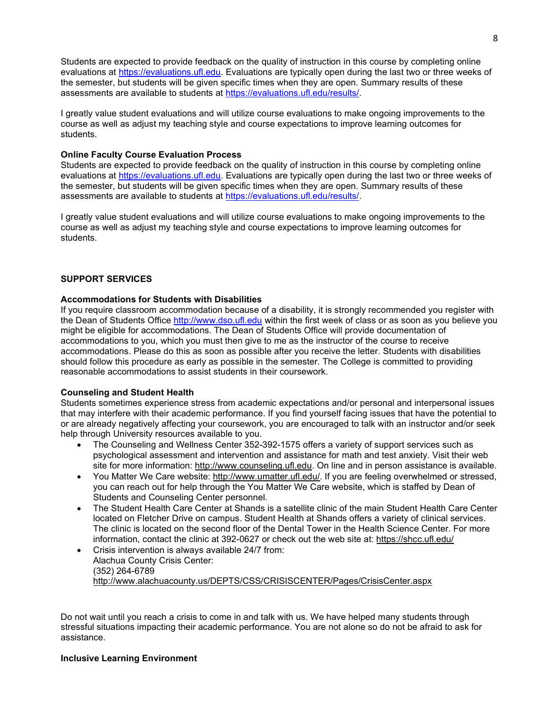Students are expected to provide feedback on the quality of instruction in this course by completing online evaluations at https://evaluations.ufl.edu. Evaluations are typically open during the last two or three weeks of the semester, but students will be given specific times when they are open. Summary results of these assessments are available to students at https://evaluations.ufl.edu/results/.

I greatly value student evaluations and will utilize course evaluations to make ongoing improvements to the course as well as adjust my teaching style and course expectations to improve learning outcomes for students.

## Online Faculty Course Evaluation Process

Students are expected to provide feedback on the quality of instruction in this course by completing online evaluations at https://evaluations.ufl.edu. Evaluations are typically open during the last two or three weeks of the semester, but students will be given specific times when they are open. Summary results of these assessments are available to students at https://evaluations.ufl.edu/results/.

I greatly value student evaluations and will utilize course evaluations to make ongoing improvements to the course as well as adjust my teaching style and course expectations to improve learning outcomes for students.

# SUPPORT SERVICES

# Accommodations for Students with Disabilities

If you require classroom accommodation because of a disability, it is strongly recommended you register with the Dean of Students Office http://www.dso.ufl.edu within the first week of class or as soon as you believe you might be eligible for accommodations. The Dean of Students Office will provide documentation of accommodations to you, which you must then give to me as the instructor of the course to receive accommodations. Please do this as soon as possible after you receive the letter. Students with disabilities should follow this procedure as early as possible in the semester. The College is committed to providing reasonable accommodations to assist students in their coursework.

## Counseling and Student Health

Students sometimes experience stress from academic expectations and/or personal and interpersonal issues that may interfere with their academic performance. If you find yourself facing issues that have the potential to or are already negatively affecting your coursework, you are encouraged to talk with an instructor and/or seek help through University resources available to you.

- The Counseling and Wellness Center 352-392-1575 offers a variety of support services such as psychological assessment and intervention and assistance for math and test anxiety. Visit their web site for more information: http://www.counseling.ufl.edu. On line and in person assistance is available.
- You Matter We Care website: http://www.umatter.ufl.edu/. If you are feeling overwhelmed or stressed, you can reach out for help through the You Matter We Care website, which is staffed by Dean of Students and Counseling Center personnel.
- The Student Health Care Center at Shands is a satellite clinic of the main Student Health Care Center located on Fletcher Drive on campus. Student Health at Shands offers a variety of clinical services. The clinic is located on the second floor of the Dental Tower in the Health Science Center. For more information, contact the clinic at 392-0627 or check out the web site at: https://shcc.ufl.edu/
- Crisis intervention is always available 24/7 from: Alachua County Crisis Center: (352) 264-6789 http://www.alachuacounty.us/DEPTS/CSS/CRISISCENTER/Pages/CrisisCenter.aspx

Do not wait until you reach a crisis to come in and talk with us. We have helped many students through stressful situations impacting their academic performance. You are not alone so do not be afraid to ask for assistance.

# Inclusive Learning Environment